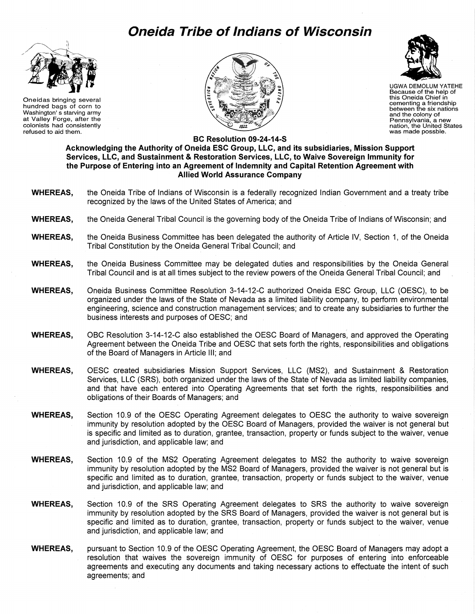## **Oneida Tribe of Indians of Wisconsin**



Oneidas bringing several hundred bags of corn to Washington' s starving army at Valley Forge, after the colonists had consistently refused to aid them.





UGWA DEMOLUM YATEHE Because of the help of this Oneida Chief in cementing a friendship between the six nations and the colony of<br>Pennsylvania, a new nation, the United States<br>was made possble.

**BC Resolution 09-24-14-S** 

**Acknowledging the Authority of Oneida ESC Group, LLC, and its subsidiaries, Mission Support Services, LLC, and Sustainment & Restoration Services, LLC, to Waive Sovereign Immunity for the Purpose of Entering into an Agreement of Indemnity and Capital Retention Agreement with Allied World Assurance Company** 

- **WHEREAS,** the Oneida Tribe of Indians of Wisconsin is a federally recognized Indian Government and a treaty tribe recognized by the laws of the United States of America; and
- **WHEREAS,** the Oneida General Tribal Council is the governing body of the Oneida Tribe of Indians of Wisconsin; and
- **WHEREAS,** the Oneida Business Committee has been delegated the authority of Article IV, Section 1, of the Oneida Tribal Constitution by the Oneida General Tribal Council; and
- **WHEREAS,** the Oneida Business Committee may be delegated duties and responsibilities by the Oneida General Tribal Council and is at all times subject to the review powers of the Oneida General Tribal Council; and
- **WHEREAS,** Oneida Business Committee Resolution 3-14-12-C authorized Oneida ESC Group, LLC (OESC), to be organized under the laws of the State of Nevada as a limited liability company, to perform environmental engineering, science and construction management services; and to create any subsidiaries to further the business interests and purposes of OESC; and
- **WHEREAS,** OBC Resolution 3-14-12-C also established the OESC Board of Managers, and approved the Operating Agreement between the Oneida Tribe and OESC that sets forth the rights, responsibilities and obligations of the Board of Managers in Article Ill; and
- **WHEREAS,** OESC created subsidiaries Mission Support Services, LLC (MS2), and Sustainment & Restoration Services, LLC (SRS), both organized under the laws of the State of Nevada as limited liability companies, and that have each entered into Operating Agreements that set forth the rights, responsibilities and obligations of their Boards of Managers; and
- **WHEREAS,** Section 10.9 of the OESC Operating Agreement delegates to OESC the authority to waive sovereign immunity by resolution adopted by the OESC Board of Managers, provided the waiver is not general but is specific and limited as to duration, grantee, transaction, property or funds subject to the waiver, venue and jurisdiction, and applicable law; and
- **WHEREAS,** Section 10.9 of the MS2 Operating Agreement delegates to MS2 the authority to waive sovereign immunity by resolution adopted by the MS2 Board of Managers, provided the waiver is not general but is specific and limited as to duration, grantee, transaction, property or funds subject to the waiver, venue and jurisdiction, and applicable law; and
- **WHEREAS,** Section 10.9 of the SRS Operating Agreement delegates to SRS the authority to waive sovereign immunity by resolution adopted by the SRS Board of Managers, provided the waiver is not general but is specific and limited as to duration, grantee, transaction, property or funds subject to the waiver, venue and jurisdiction, and applicable law; and
- **WHEREAS,** pursuant to Section 10.9 of the OESC Operating Agreement, the OESC Board of Managers may adopt a resolution that waives the sovereign immunity of OESC for purposes of entering into enforceable agreements and executing any documents and taking necessary actions to effectuate the intent of such agreements; and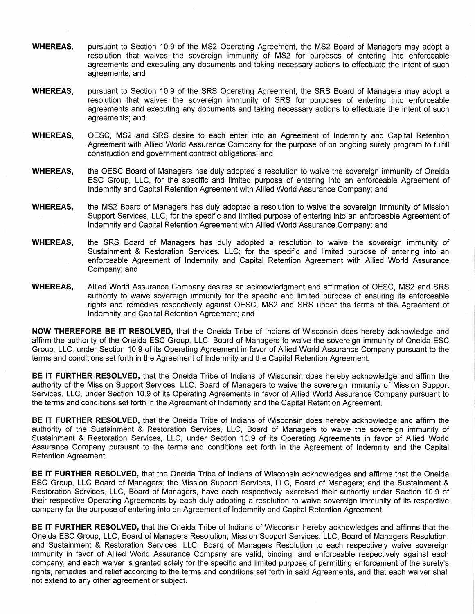- **WHEREAS,** pursuant to Section 10.9 of the MS2 Operating Agreement, the MS2 Board of Managers may adopt a resolution that waives the sovereign immunity of MS2 for purposes of entering into enforceable agreements and executing any documents and taking necessary actions to effectuate the intent of such agreements; and
- **WHEREAS,** pursuant to Section 10.9 of the SRS Operating Agreement, the SRS Board of Managers may adopt a resolution that waives the sovereign immunity of SRS for purposes of entering into enforceable agreements and executing any documents and taking necessary actions to effectuate the intent of such agreements; and
- **WHEREAS,** OESC, MS2 and SRS desire to each enter into an Agreement of Indemnity and Capital Retention Agreement with Allied World Assurance Company for the purpose of on ongoing surety program to fulfill construction and government contract obligations; and
- **WHEREAS,** the OESC Board of Managers has duly adopted a resolution to waive the sovereign immunity of Oneida ESC Group, LLC, for the specific and limited purpose of entering into an enforceable Agreement of Indemnity and Capital Retention Agreement with Allied World Assurance Company; and
- **WHEREAS,** the MS2 Board of Managers has duly adopted a resolution to waive the sovereign immunity of Mission Support Services, LLC, for the specific and limited purpose of entering into an enforceable Agreement of Indemnity and Capital Retention Agreement with Allied World Assurance Company; and
- **WHEREAS,** the SRS Board of Managers has duly adopted a resolution to waive the sovereign immunity of Sustainment & Restoration Services, LLC; for the specific and limited purpose of entering into an enforceable Agreement of Indemnity and Capital Retention Agreement with Allied World Assurance Company; and
- **WHEREAS,** Allied World Assurance Company desires an acknowledgment and affirmation of OESC, MS2 and SRS authority to waive sovereign immunity for the specific and limited purpose of ensuring its enforceable rights and remedies respectively against OESC, MS2 and SRS under the terms of the Agreement of Indemnity and Capital Retention Agreement; and

**NOW THEREFORE BE IT RESOLVED,** that the Oneida Tribe of Indians of Wisconsin does hereby acknowledge and affirm the authority of the Oneida ESC Group, LLC, Board of Managers to waive the sovereign immunity of Oneida ESC Group, LLC, under Section 10.9 of its Operating Agreement in favor of Allied World Assurance Company pursuant to the terms and conditions set forth in the Agreement of Indemnity and the Capital Retention Agreement.

**BE IT FURTHER RESOLVED,** that the Oneida Tribe of Indians of Wisconsin does hereby acknowledge and affirm the authority of the Mission Support Services, LLC, Board of Managers to waive the sovereign immunity of Mission Support Services, LLC, under Section 10.9 of its Operating Agreements in favor of Allied World Assurance Company pursuant to the terms and conditions set forth in the Agreement of Indemnity and the Capital Retention Agreement.

**BE IT FURTHER RESOLVED,** that the Oneida Tribe of Indians of Wisconsin does hereby acknowledge and affirm the authority of the Sustainment & Restoration Services, LLC, Board of Managers to waive the sovereign immunity of Sustainment & Restoration Services, LLC, under Section 10.9 of its Operating Agreements in favor of Allied World Assurance Company pursuant to the terms and conditions set forth in the Agreement of Indemnity and the Capital Retention Agreement.

**BE IT FURTHER RESOLVED,** that the Oneida Tribe of Indians of Wisconsin acknowledges and affirms that the Oneida ESC Group, LLC Board of Managers; the Mission Support Services, LLC, Board of Managers; and the Sustainment & Restoration Services, LLC, Board of Managers, have each respectively exercised their authority under Section 10.9 of their respective Operating Agreements by each duly adopting a resolution to waive sovereign immunity of its respective company for the purpose of entering into an Agreement of Indemnity and Capital Retention Agreement.

**BE IT FURTHER RESOLVED,** that the Oneida Tribe of Indians of Wisconsin hereby acknowledges and affirms that the Oneida ESC Group, LLC, Board of Managers Resolution, Mission Support Services, LLC, Board of Managers Resolution, and Sustainment & Restoration Services, LLC, Board of Managers Resolution to each respectively waive sovereign immunity in favor of Allied World Assurance Company are valid, binding, and enforceable respectively against each company, and each waiver is granted solely for the specific and limited purpose of permitting enforcement of the surety's rights, remedies and relief according to the terms and conditions set forth in said Agreements, and that each waiver shall not extend to any other agreement or subject.